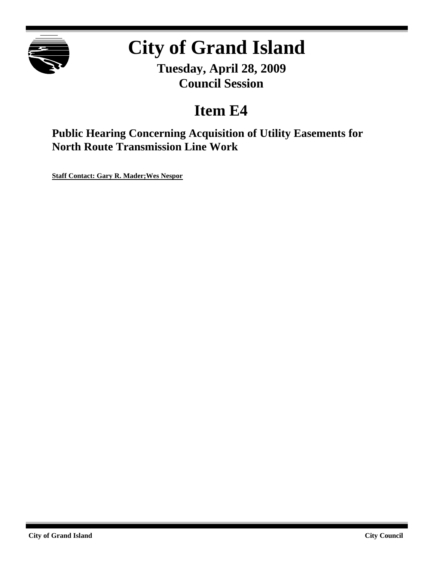

# **City of Grand Island**

**Tuesday, April 28, 2009 Council Session**

# **Item E4**

**Public Hearing Concerning Acquisition of Utility Easements for North Route Transmission Line Work**

**Staff Contact: Gary R. Mader;Wes Nespor**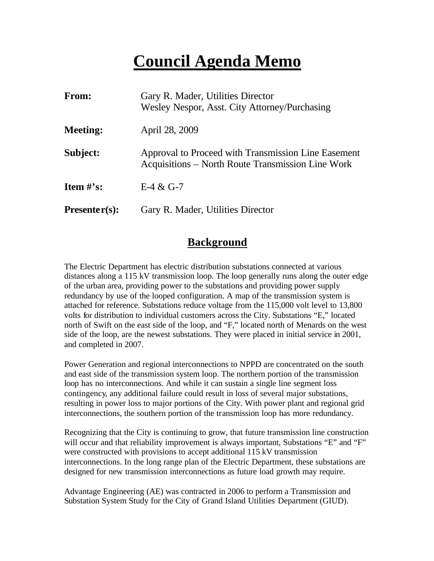# **Council Agenda Memo**

| From:           | Gary R. Mader, Utilities Director<br>Wesley Nespor, Asst. City Attorney/Purchasing                       |
|-----------------|----------------------------------------------------------------------------------------------------------|
| <b>Meeting:</b> | April 28, 2009                                                                                           |
| Subject:        | Approval to Proceed with Transmission Line Easement<br>Acquisitions – North Route Transmission Line Work |
| Item $\#$ 's:   | $E-4 & G-7$                                                                                              |
| $Presenter(s):$ | Gary R. Mader, Utilities Director                                                                        |

### **Background**

The Electric Department has electric distribution substations connected at various distances along a 115 kV transmission loop. The loop generally runs along the outer edge of the urban area, providing power to the substations and providing power supply redundancy by use of the looped configuration. A map of the transmission system is attached for reference. Substations reduce voltage from the 115,000 volt level to 13,800 volts for distribution to individual customers across the City. Substations "E," located north of Swift on the east side of the loop, and "F," located north of Menards on the west side of the loop, are the newest substations. They were placed in initial service in 2001, and completed in 2007.

Power Generation and regional interconnections to NPPD are concentrated on the south and east side of the transmission system loop. The northern portion of the transmission loop has no interconnections. And while it can sustain a single line segment loss contingency, any additional failure could result in loss of several major substations, resulting in power loss to major portions of the City. With power plant and regional grid interconnections, the southern portion of the transmission loop has more redundancy.

Recognizing that the City is continuing to grow, that future transmission line construction will occur and that reliability improvement is always important, Substations "E" and "F" were constructed with provisions to accept additional 115 kV transmission interconnections. In the long range plan of the Electric Department, these substations are designed for new transmission interconnections as future load growth may require.

Advantage Engineering (AE) was contracted in 2006 to perform a Transmission and Substation System Study for the City of Grand Island Utilities Department (GIUD).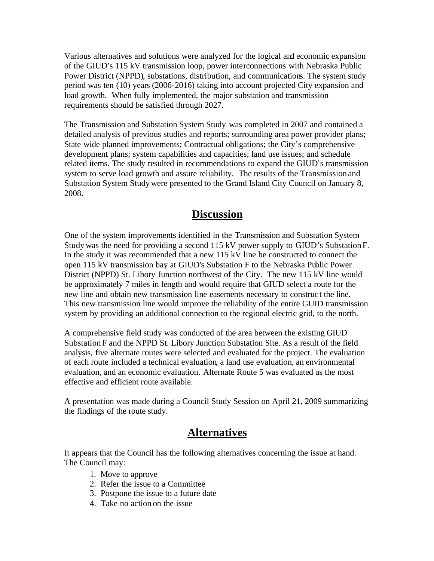Various alternatives and solutions were analyzed for the logical and economic expansion of the GIUD's 115 kV transmission loop, power interconnections with Nebraska Public Power District (NPPD), substations, distribution, and communications. The system study period was ten (10) years (2006-2016) taking into account projected City expansion and load growth. When fully implemented, the major substation and transmission requirements should be satisfied through 2027.

The Transmission and Substation System Study was completed in 2007 and contained a detailed analysis of previous studies and reports; surrounding area power provider plans; State wide planned improvements; Contractual obligations; the City's comprehensive development plans; system capabilities and capacities; land use issues; and schedule related items. The study resulted in recommendations to expand the GIUD's transmission system to serve load growth and assure reliability. The results of the Transmission and Substation System Study were presented to the Grand Island City Council on January 8, 2008.

#### **Discussion**

One of the system improvements identified in the Transmission and Substation System Study was the need for providing a second 115 kV power supply to GIUD's Substation F. In the study it was recommended that a new 115 kV line be constructed to connect the open 115 kV transmission bay at GIUD's Substation F to the Nebraska Public Power District (NPPD) St. Libory Junction northwest of the City. The new 115 kV line would be approximately 7 miles in length and would require that GIUD select a route for the new line and obtain new transmission line easements necessary to construc t the line. This new transmission line would improve the reliability of the entire GUID transmission system by providing an additional connection to the regional electric grid, to the north.

A comprehensive field study was conducted of the area between the existing GIUD Substation F and the NPPD St. Libory Junction Substation Site. As a result of the field analysis, five alternate routes were selected and evaluated for the project. The evaluation of each route included a technical evaluation, a land use evaluation, an environmental evaluation, and an economic evaluation. Alternate Route 5 was evaluated as the most effective and efficient route available.

A presentation was made during a Council Study Session on April 21, 2009 summarizing the findings of the route study.

#### **Alternatives**

It appears that the Council has the following alternatives concerning the issue at hand. The Council may:

- 1. Move to approve
- 2. Refer the issue to a Committee
- 3. Postpone the issue to a future date
- 4. Take no action on the issue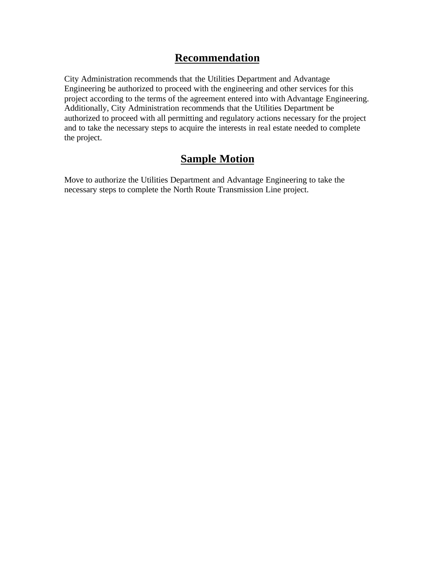## **Recommendation**

City Administration recommends that the Utilities Department and Advantage Engineering be authorized to proceed with the engineering and other services for this project according to the terms of the agreement entered into with Advantage Engineering. Additionally, City Administration recommends that the Utilities Department be authorized to proceed with all permitting and regulatory actions necessary for the project and to take the necessary steps to acquire the interests in real estate needed to complete the project.

### **Sample Motion**

Move to authorize the Utilities Department and Advantage Engineering to take the necessary steps to complete the North Route Transmission Line project.